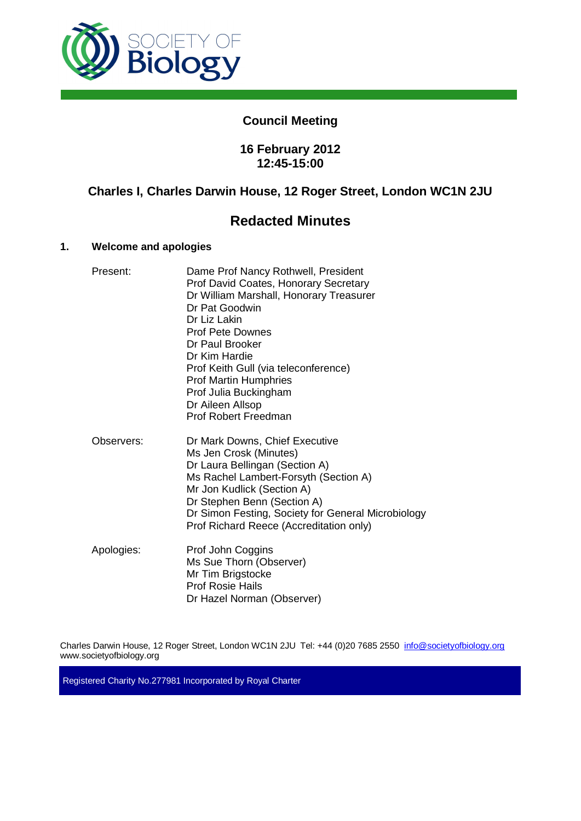

# **Council Meeting**

## **16 February 2012 12:45-15:00**

## **Charles I, Charles Darwin House, 12 Roger Street, London WC1N 2JU**

# **Redacted Minutes**

## **1. Welcome and apologies**

| Present:   | Dame Prof Nancy Rothwell, President<br>Prof David Coates, Honorary Secretary<br>Dr William Marshall, Honorary Treasurer<br>Dr Pat Goodwin<br>Dr Liz Lakin<br><b>Prof Pete Downes</b><br>Dr Paul Brooker<br>Dr Kim Hardie<br>Prof Keith Gull (via teleconference)<br><b>Prof Martin Humphries</b><br>Prof Julia Buckingham<br>Dr Aileen Allsop<br>Prof Robert Freedman |
|------------|-----------------------------------------------------------------------------------------------------------------------------------------------------------------------------------------------------------------------------------------------------------------------------------------------------------------------------------------------------------------------|
| Observers: | Dr Mark Downs, Chief Executive<br>Ms Jen Crosk (Minutes)<br>Dr Laura Bellingan (Section A)<br>Ms Rachel Lambert-Forsyth (Section A)<br>Mr Jon Kudlick (Section A)<br>Dr Stephen Benn (Section A)<br>Dr Simon Festing, Society for General Microbiology<br>Prof Richard Reece (Accreditation only)                                                                     |
| Apologies: | Prof John Coggins<br>Ms Sue Thorn (Observer)<br>Mr Tim Brigstocke<br><b>Prof Rosie Hails</b><br>Dr Hazel Norman (Observer)                                                                                                                                                                                                                                            |

Charles Darwin House, 12 Roger Street, London WC1N 2JU Tel: +44 (0)20 7685 2550 info@societyofbiology.org www.societyofbiology.org

Registered Charity No.277981 Incorporated by Royal Charter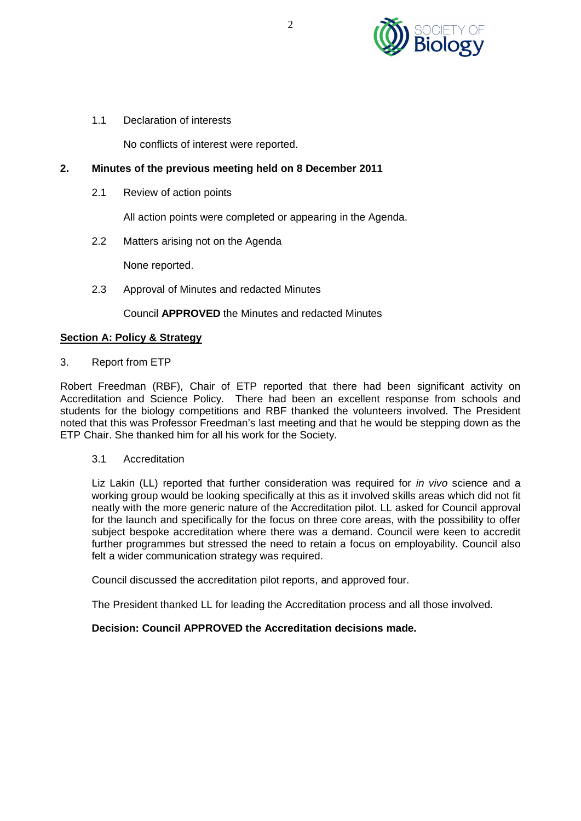

1.1 Declaration of interests

No conflicts of interest were reported.

## **2. Minutes of the previous meeting held on 8 December 2011**

2.1 Review of action points

All action points were completed or appearing in the Agenda.

2.2 Matters arising not on the Agenda

None reported.

2.3 Approval of Minutes and redacted Minutes

Council **APPROVED** the Minutes and redacted Minutes

#### **Section A: Policy & Strategy**

3. Report from ETP

Robert Freedman (RBF), Chair of ETP reported that there had been significant activity on Accreditation and Science Policy. There had been an excellent response from schools and students for the biology competitions and RBF thanked the volunteers involved. The President noted that this was Professor Freedman's last meeting and that he would be stepping down as the ETP Chair. She thanked him for all his work for the Society.

#### 3.1 Accreditation

Liz Lakin (LL) reported that further consideration was required for *in vivo* science and a working group would be looking specifically at this as it involved skills areas which did not fit neatly with the more generic nature of the Accreditation pilot. LL asked for Council approval for the launch and specifically for the focus on three core areas, with the possibility to offer subject bespoke accreditation where there was a demand. Council were keen to accredit further programmes but stressed the need to retain a focus on employability. Council also felt a wider communication strategy was required.

Council discussed the accreditation pilot reports, and approved four.

The President thanked LL for leading the Accreditation process and all those involved.

## **Decision: Council APPROVED the Accreditation decisions made.**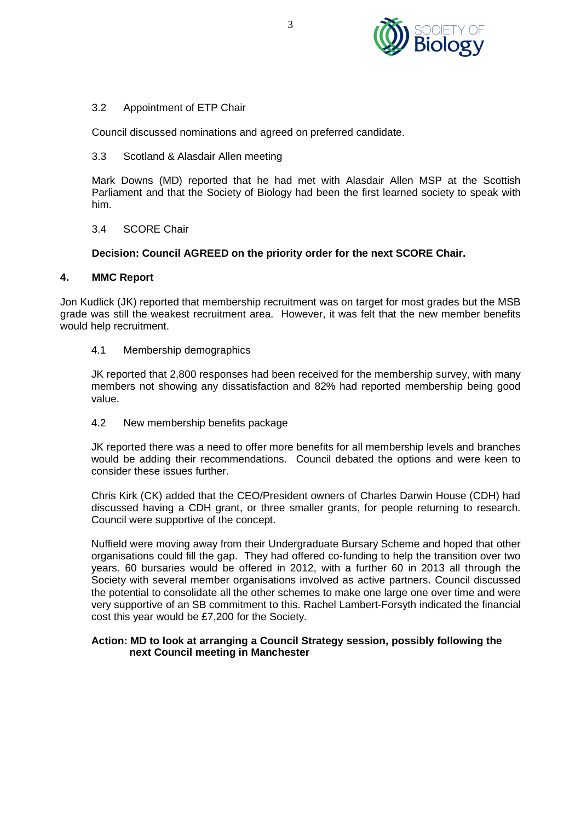

## 3.2 Appointment of ETP Chair

Council discussed nominations and agreed on preferred candidate.

#### 3.3 Scotland & Alasdair Allen meeting

Mark Downs (MD) reported that he had met with Alasdair Allen MSP at the Scottish Parliament and that the Society of Biology had been the first learned society to speak with him.

## 3.4 SCORE Chair

## **Decision: Council AGREED on the priority order for the next SCORE Chair.**

## **4. MMC Report**

Jon Kudlick (JK) reported that membership recruitment was on target for most grades but the MSB grade was still the weakest recruitment area. However, it was felt that the new member benefits would help recruitment.

## 4.1 Membership demographics

JK reported that 2,800 responses had been received for the membership survey, with many members not showing any dissatisfaction and 82% had reported membership being good value.

#### 4.2 New membership benefits package

JK reported there was a need to offer more benefits for all membership levels and branches would be adding their recommendations. Council debated the options and were keen to consider these issues further.

Chris Kirk (CK) added that the CEO/President owners of Charles Darwin House (CDH) had discussed having a CDH grant, or three smaller grants, for people returning to research. Council were supportive of the concept.

Nuffield were moving away from their Undergraduate Bursary Scheme and hoped that other organisations could fill the gap. They had offered co-funding to help the transition over two years. 60 bursaries would be offered in 2012, with a further 60 in 2013 all through the Society with several member organisations involved as active partners. Council discussed the potential to consolidate all the other schemes to make one large one over time and were very supportive of an SB commitment to this. Rachel Lambert-Forsyth indicated the financial cost this year would be £7,200 for the Society.

## **Action: MD to look at arranging a Council Strategy session, possibly following the next Council meeting in Manchester**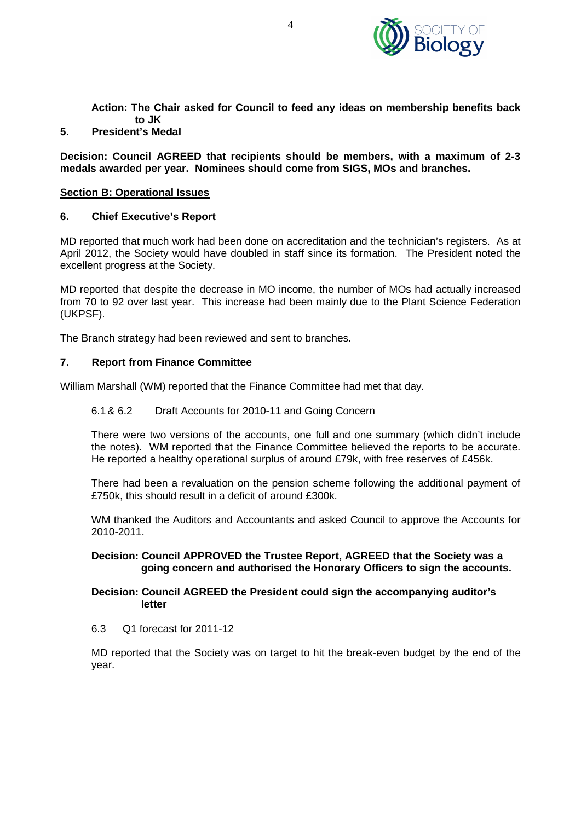

**Action: The Chair asked for Council to feed any ideas on membership benefits back to JK**

## **5. President's Medal**

**Decision: Council AGREED that recipients should be members, with a maximum of 2-3 medals awarded per year. Nominees should come from SIGS, MOs and branches.** 

#### **Section B: Operational Issues**

#### **6. Chief Executive's Report**

MD reported that much work had been done on accreditation and the technician's registers. As at April 2012, the Society would have doubled in staff since its formation. The President noted the excellent progress at the Society.

MD reported that despite the decrease in MO income, the number of MOs had actually increased from 70 to 92 over last year. This increase had been mainly due to the Plant Science Federation (UKPSF).

The Branch strategy had been reviewed and sent to branches.

#### **7. Report from Finance Committee**

William Marshall (WM) reported that the Finance Committee had met that day.

#### 6.1 & 6.2 Draft Accounts for 2010-11 and Going Concern

There were two versions of the accounts, one full and one summary (which didn't include the notes). WM reported that the Finance Committee believed the reports to be accurate. He reported a healthy operational surplus of around £79k, with free reserves of £456k.

There had been a revaluation on the pension scheme following the additional payment of £750k, this should result in a deficit of around £300k.

WM thanked the Auditors and Accountants and asked Council to approve the Accounts for 2010-2011.

## **Decision: Council APPROVED the Trustee Report, AGREED that the Society was a going concern and authorised the Honorary Officers to sign the accounts.**

#### **Decision: Council AGREED the President could sign the accompanying auditor's letter**

6.3 Q1 forecast for 2011-12

MD reported that the Society was on target to hit the break-even budget by the end of the year.